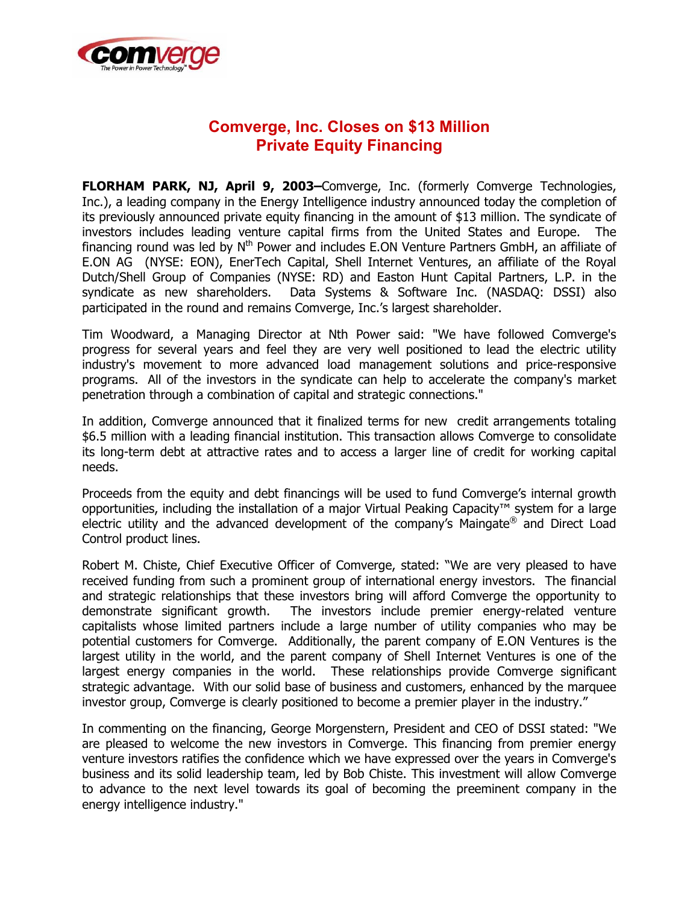

# **Comverge, Inc. Closes on \$13 Million Private Equity Financing**

**FLORHAM PARK, NJ, April 9, 2003–**Comverge, Inc. (formerly Comverge Technologies, Inc.), a leading company in the Energy Intelligence industry announced today the completion of its previously announced private equity financing in the amount of \$13 million. The syndicate of investors includes leading venture capital firms from the United States and Europe. financing round was led by  $N^{th}$  Power and includes E.ON Venture Partners GmbH, an affiliate of E.ON AG (NYSE: EON), EnerTech Capital, Shell Internet Ventures, an affiliate of the Royal Dutch/Shell Group of Companies (NYSE: RD) and Easton Hunt Capital Partners, L.P. in the syndicate as new shareholders. Data Systems & Software Inc. (NASDAQ: DSSI) also participated in the round and remains Comverge, Inc.'s largest shareholder.

Tim Woodward, a Managing Director at Nth Power said: "We have followed Comverge's progress for several years and feel they are very well positioned to lead the electric utility industry's movement to more advanced load management solutions and price-responsive programs. All of the investors in the syndicate can help to accelerate the company's market penetration through a combination of capital and strategic connections."

In addition, Comverge announced that it finalized terms for new credit arrangements totaling \$6.5 million with a leading financial institution. This transaction allows Comverge to consolidate its long-term debt at attractive rates and to access a larger line of credit for working capital needs.

Proceeds from the equity and debt financings will be used to fund Comverge's internal growth opportunities, including the installation of a major Virtual Peaking Capacity™ system for a large electric utility and the advanced development of the company's Maingate® and Direct Load Control product lines.

Robert M. Chiste, Chief Executive Officer of Comverge, stated: "We are very pleased to have received funding from such a prominent group of international energy investors. The financial and strategic relationships that these investors bring will afford Comverge the opportunity to demonstrate significant growth. The investors include premier energy-related venture capitalists whose limited partners include a large number of utility companies who may be potential customers for Comverge. Additionally, the parent company of E.ON Ventures is the largest utility in the world, and the parent company of Shell Internet Ventures is one of the largest energy companies in the world. These relationships provide Comverge significant strategic advantage. With our solid base of business and customers, enhanced by the marquee investor group, Comverge is clearly positioned to become a premier player in the industry."

In commenting on the financing, George Morgenstern, President and CEO of DSSI stated: "We are pleased to welcome the new investors in Comverge. This financing from premier energy venture investors ratifies the confidence which we have expressed over the years in Comverge's business and its solid leadership team, led by Bob Chiste. This investment will allow Comverge to advance to the next level towards its goal of becoming the preeminent company in the energy intelligence industry."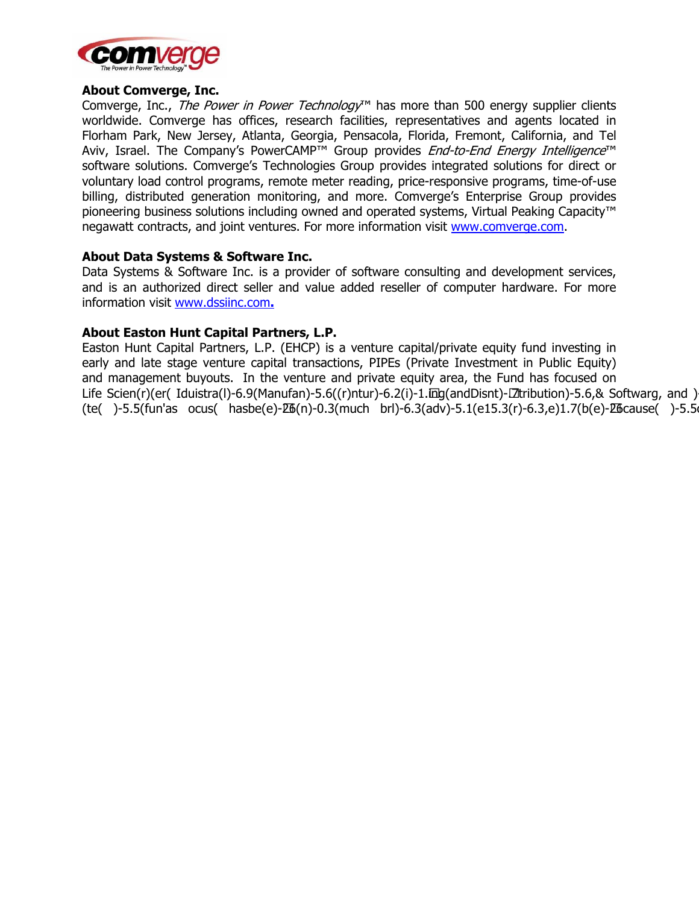

### **About Comverge, Inc.**

Comverge, Inc., *The Power in Power Technology*<sup>™</sup> has more than 500 energy supplier clients worldwide. Comverge has offices, research facilities, representatives and agents located in Florham Park, New Jersey, Atlanta, Georgia, Pensacola, Florida, Fremont, California, and Tel Aviv, Israel. The Company's PowerCAMP™ Group provides End-to-End Energy Intelligence™ software solutions. Comverge's Technologies Group provides integrated solutions for direct or voluntary load control programs, remote meter reading, price-responsive programs, time-of-use billing, distributed generation monitoring, and more. Comverge's Enterprise Group provides pioneering business solutions including owned and operated systems, Virtual Peaking Capacity™ negawatt contracts, and joint ventures. For more information visit www.comverge.com.

### About Data Systems & Software Inc.

Data Systems & Software Inc. is a provider of software consulting and development services, and is an authorized direct seller and value added reseller of computer hardware. For more information visit www.dssiinc.com.

## About Easton Hunt Capital Partners, L.P.

Easton Hunt Capital Partners, L.P. (EHCP) is a venture capital/private equity fund investing in early and late stage venture capital transactions, PIPEs (Private Investment in Public Equity) and management buyouts. In the venture and private equity area, the Fund has focused on Life Scien(r)(er( Iduistra(l)-6.9(Manufan)-5.6((r)ntur)-6.2(i)-1.#ng(andDisnt)-47tribution)-5.6,& Softwarg, and ) (te()-5.5(fun'as ocus( hasbe(e)-46(n)-0.3(much brl)-6.3(adv)-5.1(e15.3(r)-6.3,e)1.7(b(e)-46cause()-5.5